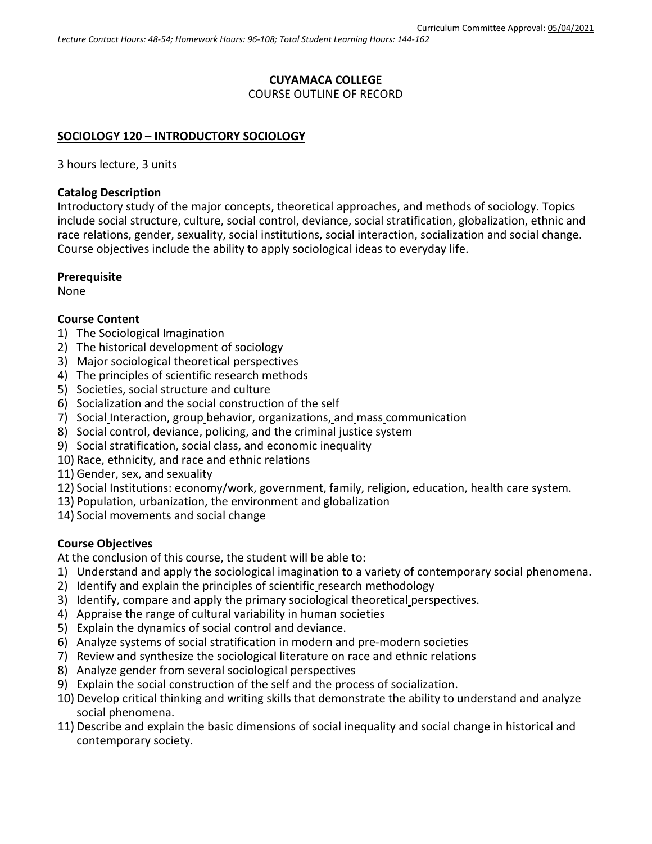### **CUYAMACA COLLEGE** COURSE OUTLINE OF RECORD

# **SOCIOLOGY 120 – INTRODUCTORY SOCIOLOGY**

3 hours lecture, 3 units

# **Catalog Description**

Introductory study of the major concepts, theoretical approaches, and methods of sociology. Topics include social structure, culture, social control, deviance, social stratification, globalization, ethnic and race relations, gender, sexuality, social institutions, social interaction, socialization and social change. Course objectives include the ability to apply sociological ideas to everyday life.

## **Prerequisite**

None

# **Course Content**

- 1) The Sociological Imagination
- 2) The historical development of sociology
- 3) Major sociological theoretical perspectives
- 4) The principles of scientific research methods
- 5) Societies, social structure and culture
- 6) Socialization and the social construction of the self
- 7) Social Interaction, group behavior, organizations, and mass communication
- 8) Social control, deviance, policing, and the criminal justice system
- 9) Social stratification, social class, and economic inequality
- 10) Race, ethnicity, and race and ethnic relations
- 11) Gender, sex, and sexuality
- 12) Social Institutions: economy/work, government, family, religion, education, health care system.
- 13) Population, urbanization, the environment and globalization
- 14) Social movements and social change

# **Course Objectives**

At the conclusion of this course, the student will be able to:

- 1) Understand and apply the sociological imagination to a variety of contemporary social phenomena.
- 2) Identify and explain the principles of scientific research methodology
- 3) Identify, compare and apply the primary sociological theoretical perspectives.
- 4) Appraise the range of cultural variability in human societies
- 5) Explain the dynamics of social control and deviance.
- 6) Analyze systems of social stratification in modern and pre-modern societies
- 7) Review and synthesize the sociological literature on race and ethnic relations
- 8) Analyze gender from several sociological perspectives
- 9) Explain the social construction of the self and the process of socialization.
- 10) Develop critical thinking and writing skills that demonstrate the ability to understand and analyze social phenomena.
- 11) Describe and explain the basic dimensions of social inequality and social change in historical and contemporary society.